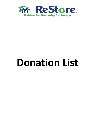

# **Donation List**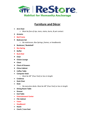

# **Furniture and Décor**

- **Arm Chair**
	- o *Must be free of rips, tears, stains, burns, & pet contact.*
- **Armoire**
- **Bed Frame**
- **Bedroom Set**
	- o *No mattresses, Box Springs, frames, or headboards.*
- **Bookcase / Bookshelf**
- **Box Spring**
- **Buffet**
- **Bunk Bed**
- **Chair**
- **Chaise Lounge**
- **Chest**
- **Chest of Drawers**
- **China Cabinet**
- **Coffee Table**
- **Computer Desk**
	- o *Must be 48'' (Four Feet) or less in length.*
- **Credenza**
- **Desk Chair**
- **Desk**
	- o *No executive desks. Must be 48" (Four Feet) or less in length.*
- **Dining Room Table**
- **Dresser**
- **End Table**
- **Entertainment Center**
- **File Cabinet**
- **Futon**
- **Headboard**
- **Hutch**
- **Couch / Love Seat**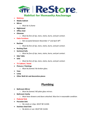

- **Mattress**
- **Media Cabinet**
- **Mirror**
	- o *Must be in frame*
- **Nightstand**
- **Office chair**
- **Ottoman**
	- o *Must be free of rips, tears, stains, burns, and pet contact.*
- **Patio Furniture**
	- o *Not accepted between November 1st and April 30th .*
- **Recliner**
	- o *Must be free of rips, tears, stains, burns, and pet contact.*
- **Rocking Chair**
- **Sectional Sofa**
	- o *Must be free of rips, tears, stains, burns, and pet contact.*
- **Side Table**
- **Sofa**
	- o *Must be free of rips, tears, stains, burns, and pet contact.*
- **TV Cabinet / Stand**
- **Pictures / Paintings**
	- o *Must be framed. No broken glass.*
- **Vase**
- **Lamp**
- **Other Wall Art and decorative pieces**

#### **Plumbing**

- **Bathroom Mirror**
	- o *Must be framed. NO plate glass mirrors.*
- **Bathroom Vanity**
	- o *Must have drawers and doors attached. Must be in reasonable condition.*
- **Pedestal Sink**
- **Porcelain Sink**
	- o *No cracks or chips. MUST BE CLEAN.*
- **Stainless Steel Sink**
	- o *No dents or rust. MUST BE CLEAN.*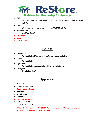

- **Toilet**
	- o *Must have tank, lid, & hardware without toilet seat. No cracks or chips. MUST BE CLEAN.*
- **Tub**
	- o *No shower tub combos or cast iron tubs. MUST BE CLEAN.*
- **Whirlpool Tub**
	- o *MUST BE CLEAN*
- **Sink Faucets**
- **Shower door**
- **Cast Iron Sink**

### **Lighting**

- **Chandeliers**
	- o **Without bulbs. Must be modern. No old brass chandeliers.**
- **Lamps**
	- o **Without bulb**
- **Light Fixture**
	- o **Without bulb. Must be modern. No old brass fixtures.**
- **Ceiling Fan**
	- o **New in Box ONLY.**

#### **Appliances**

- **Dishwasher**
- **Oven / Stove / Range**
- **Range hood / Exhaust**
- **Refrigerator**
- **Deep Freezer**
- **Microwave**
- **Overhead Microwave**
- **Small Appliances**
	- o *New in box ONLY.*

*\*\*\*ALL Appliances must be NO OLDER than 10 years and in FULL working order with NO missing parts or pieces. MUST BE CLEAN.\*\*\**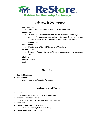

# **Cabinets & Countertops**

- **Bathroom Vanity**
	- o *Drawers and doors attached. Must be in reasonable condition.*
- **Countertops**
	- o *Formica and Laminate Countertops are not accepted. Counter tops cannot be "L" shaped and must be free of sink holes. Granite countertops are only accepted new from businesses and must be approved by management.*
- **Filing Cabinet**
	- o *Must be empty. Must NOT be locked without keys.*
- **Kitchen Cabinets**
	- o *Drawers and doors attached and in working order. Must be in reasonable condition.*
- **Shelving**
- **Storage Cabinet**
- **Bookshelf**

# **Electrical**

- **Electrical Hardware**
- **Electrical Wire**
	- o *Must be unused and contained in a spool*

# **Hardware and Tools**

- **Ladder**
	- o *Rungs, arms, & hinges must be in good condition.*
- **Industrial Saw / Lathe/ Press**
	- o *Must be mechanically sound. Must have all pieces.*
- **Hand Tools**
- **Cordless Power Saw / Drill /Driver**
	- o *Must have working battery and charger*
- **Corded Power Saw / Drill / Driver**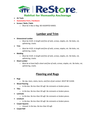

- **Air Tools**
- **Automotive Parts / Hardware**
- **Screws / Bolts / Nails**
	- o *Must be in Box or Bag. NO ASSORTED MIXES.*

#### **Lumber and Trim**

- **Dimensional Lumber**
	- o *Must be 4-8 ft. in length and free of nails, screws, staples, etc. No holes, rot, splintering, cracks.*
- **Trim**
	- o *Must be 4-8 ft. in length and free of nails, screws, staples, etc. No holes, rot, splintering, cracks.*
- **Molding**
	- o *Must be 4-8 ft. in length and free of nails, screws, staples, etc. No holes, rot, splintering, cracks.*
- **Sheet Lumber**
	- o *Must be at least half a sheet and free of nails, screws, staples, etc. No holes, rot, splintering, cracks.*

#### **Flooring and Rugs**

- **Rugs**
	- o *No rips, tears, stains, burns, and free of pet contact. MUST BE CLEAN.*
- **Wood Flooring**
	- o *In the box. No less than 50 sqft. No remnants or broken pieces.*
- **Tiles**
	- o *In the box. No less than 50 sqft. No remnants or broken pieces.*
- **Laminate**
	- o *In the box. No less than 50 sqft. No remnants or broken pieces.*
- **Linoleum**
	- o *In the box. No less than 50 sqft. No remnants or broken pieces.*
- **Carpet Squares**
	- o *Unused. In the box. No less than 50 sqft.*
- **Carpet Roll**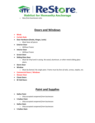

o *New from businesses only.*

# **Doors and Windows**

- **Blinds**
- **Curtain Rods**
- **Door Hardware (Knobs, Hinges, Locks)**
	- o *Must have all pieces*
- **Exterior Door**
	- o *Without Frame*
- **Interior Door**
	- o *Without Frame*
- **Screen Door**
- **Sliding Glass Door**
	- o *Must be Vinyl and in casing. No wood, aluminum, or other metal sliding glass doors.*
- **Storm Door**
- **Window**
	- o *Must be framed. No single pane. Frame must be free of nails, screws, staples, etc.*
- **Commercial Doors / Windows**
- **Shower Door**
- **Closet Doors**
- **Bi Fold Doors**

# **Paint and Supplies**

- **Gallon Paint**
	- o *Only accepted unopened from businesses*
- **5 Gallon Paint**
	- o *Only accepted unopened from businesses*
- **Gallon Stain**
	- o *Only accepted unopened from businesses*
- **5 Gallon Stain**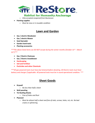

- o *Only accepted unopened from Businesses*
- **Painting supplies**
	- o *Must be new or in reusable condition*

### **Lawn and Garden**

- **Gas / electric Weedeater**
- **Gas / electric Mower**
- **Seed Spreader**
- **Garden hand tools**
- **Planting accessories**

*\*\*\*The above listed items we DO NOT accept during the winter months (October 31st – March 31st)\*\*\**

- **Gas / Electric Chainsaw**
- **Gas / Electric Snowblower**
- **Hardscaping**
- **Soil and Fertilizer**
- **Pesticides and other Chemicals**

*\*\*\*All gas powered tools must have fuel drained before donating. All Electric tools must have battery and charger if applicable. All powered tools must be in sound operational condition. \*\*\**

#### **Sheet Goods**

- **Drywall**
	- o *No less than half a sheet*
- **Wall paneling**
- **Tin Roofing Sheets**
	- o *Free of Holes and Rust*
- **Plywood**
	- o *Must be atleast half a sheet and free of nials, screws, holes, rot, etc. No bad cracks or splintering.*